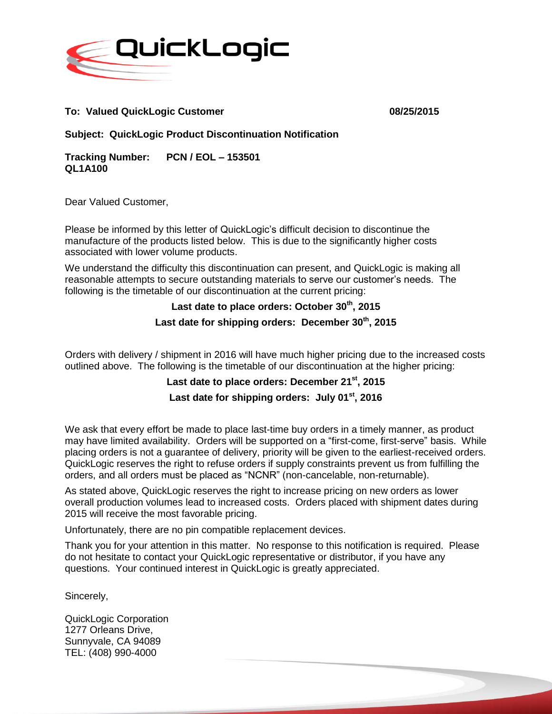

#### **To: Valued QuickLogic Customer 08/25/2015**

**Subject: QuickLogic Product Discontinuation Notification** 

**Tracking Number: PCN / EOL – 153501 QL1A100**

Dear Valued Customer,

Please be informed by this letter of QuickLogic's difficult decision to discontinue the manufacture of the products listed below. This is due to the significantly higher costs associated with lower volume products.

We understand the difficulty this discontinuation can present, and QuickLogic is making all reasonable attempts to secure outstanding materials to serve our customer's needs. The following is the timetable of our discontinuation at the current pricing:

# **Last date to place orders: October 30th, 2015**

#### **Last date for shipping orders: December 30th, 2015**

Orders with delivery / shipment in 2016 will have much higher pricing due to the increased costs outlined above. The following is the timetable of our discontinuation at the higher pricing:

### **Last date to place orders: December 21st, 2015 Last date for shipping orders: July 01st, 2016**

We ask that every effort be made to place last-time buy orders in a timely manner, as product may have limited availability. Orders will be supported on a "first-come, first-serve" basis. While placing orders is not a guarantee of delivery, priority will be given to the earliest-received orders. QuickLogic reserves the right to refuse orders if supply constraints prevent us from fulfilling the orders, and all orders must be placed as "NCNR" (non-cancelable, non-returnable).

As stated above, QuickLogic reserves the right to increase pricing on new orders as lower overall production volumes lead to increased costs. Orders placed with shipment dates during 2015 will receive the most favorable pricing.

Unfortunately, there are no pin compatible replacement devices.

Thank you for your attention in this matter. No response to this notification is required. Please do not hesitate to contact your QuickLogic representative or distributor, if you have any questions. Your continued interest in QuickLogic is greatly appreciated.

Sincerely,

QuickLogic Corporation 1277 Orleans Drive, Sunnyvale, CA 94089 TEL: (408) 990-4000